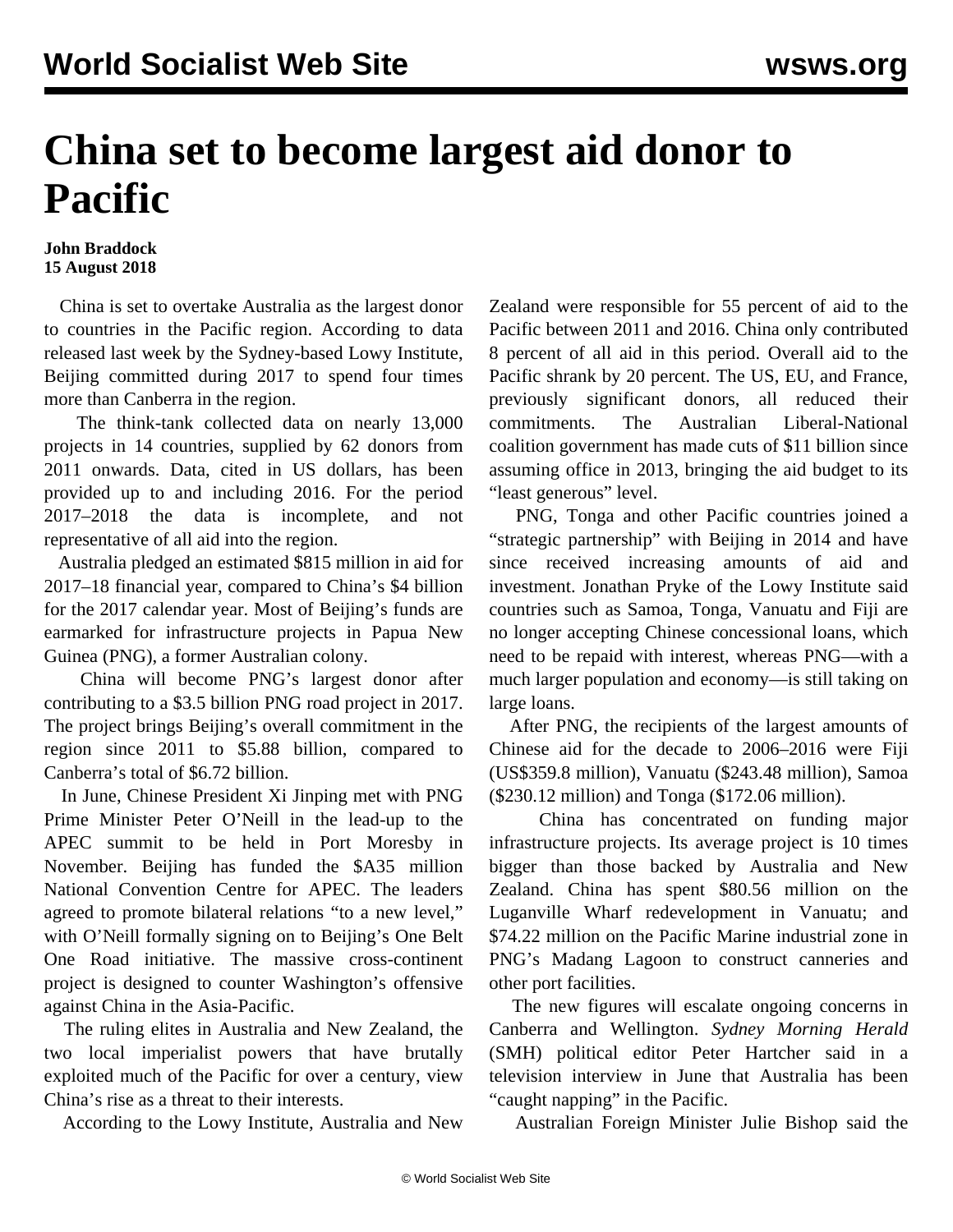## **China set to become largest aid donor to Pacific**

## **John Braddock 15 August 2018**

 China is set to overtake Australia as the largest donor to countries in the Pacific region. According to data released last week by the Sydney-based Lowy Institute, Beijing committed during 2017 to spend four times more than Canberra in the region.

 The think-tank collected data on nearly 13,000 projects in 14 countries, supplied by 62 donors from 2011 onwards. Data, cited in US dollars, has been provided up to and including 2016. For the period 2017–2018 the data is incomplete, and not representative of all aid into the region.

 Australia pledged an estimated \$815 million in aid for 2017–18 financial year, compared to China's \$4 billion for the 2017 calendar year. Most of Beijing's funds are earmarked for infrastructure projects in Papua New Guinea (PNG), a former Australian colony.

 China will become PNG's largest donor after contributing to a \$3.5 billion PNG road project in 2017. The project brings Beijing's overall commitment in the region since 2011 to \$5.88 billion, compared to Canberra's total of \$6.72 billion.

 In June, Chinese President Xi Jinping met with PNG Prime Minister Peter O'Neill in the lead-up to the APEC summit to be held in Port Moresby in November. Beijing has funded the \$A35 million National Convention Centre for APEC. The leaders agreed to promote bilateral relations "to a new level," with O'Neill formally signing on to Beijing's One Belt One Road initiative. The massive cross-continent project is designed to counter Washington's offensive against China in the Asia-Pacific.

 The ruling elites in Australia and New Zealand, the two local imperialist powers that have brutally exploited much of the Pacific for over a century, view China's rise as a threat to their interests.

According to the Lowy Institute, Australia and New

Zealand were responsible for 55 percent of aid to the Pacific between 2011 and 2016. China only contributed 8 percent of all aid in this period. Overall aid to the Pacific shrank by 20 percent. The US, EU, and France, previously significant donors, all reduced their commitments. The Australian Liberal-National coalition government has made cuts of \$11 billion since assuming office in 2013, bringing the aid budget to its "least generous" level.

 PNG, Tonga and other Pacific countries joined a "strategic partnership" with Beijing in 2014 and have since received increasing amounts of aid and investment. Jonathan Pryke of the Lowy Institute said countries such as Samoa, Tonga, Vanuatu and Fiji are no longer accepting Chinese concessional loans, which need to be repaid with interest, whereas PNG—with a much larger population and economy—is still taking on large loans.

 After PNG, the recipients of the largest amounts of Chinese aid for the decade to 2006–2016 were Fiji (US\$359.8 million), Vanuatu (\$243.48 million), Samoa (\$230.12 million) and Tonga (\$172.06 million).

 China has concentrated on funding major infrastructure projects. Its average project is 10 times bigger than those backed by Australia and New Zealand. China has spent \$80.56 million on the Luganville Wharf redevelopment in Vanuatu; and \$74.22 million on the Pacific Marine industrial zone in PNG's Madang Lagoon to construct canneries and other port facilities.

 The new figures will escalate ongoing concerns in Canberra and Wellington. *Sydney Morning Herald* (SMH) political editor Peter Hartcher said in a television interview in June that Australia has been "caught napping" in the Pacific.

Australian Foreign Minister Julie Bishop said the